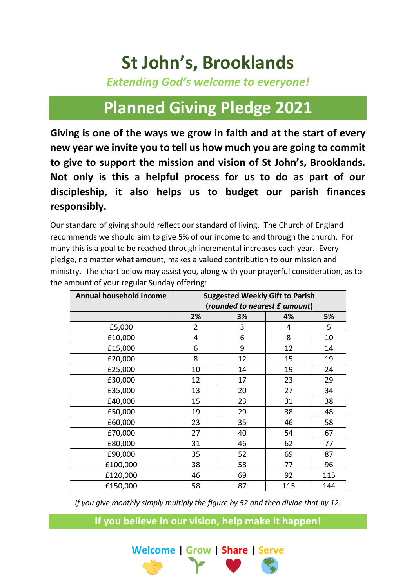## **St John's, Brooklands**

*Extending God's welcome to everyone!*

## **Planned Giving Pledge 2021**

**Giving is one of the ways we grow in faith and at the start of every new year we invite you to tell us how much you are going to commit to give to support the mission and vision of St John's, Brooklands. Not only is this a helpful process for us to do as part of our discipleship, it also helps us to budget our parish finances responsibly.**

Our standard of giving should reflect our standard of living. The Church of England recommends we should aim to give 5% of our income to and through the church. For many this is a goal to be reached through incremental increases each year. Every pledge, no matter what amount, makes a valued contribution to our mission and ministry. The chart below may assist you, along with your prayerful consideration, as to the amount of your regular Sunday offering:

| <b>Annual household Income</b> | <b>Suggested Weekly Gift to Parish</b><br>(rounded to nearest £ amount) |    |     |     |
|--------------------------------|-------------------------------------------------------------------------|----|-----|-----|
|                                | 2%                                                                      | 3% | 4%  | 5%  |
| £5,000                         | $\overline{2}$                                                          | 3  | 4   | 5   |
| £10,000                        | 4                                                                       | 6  | 8   | 10  |
| £15,000                        | 6                                                                       | 9  | 12  | 14  |
| £20,000                        | 8                                                                       | 12 | 15  | 19  |
| £25,000                        | 10                                                                      | 14 | 19  | 24  |
| £30,000                        | 12                                                                      | 17 | 23  | 29  |
| £35,000                        | 13                                                                      | 20 | 27  | 34  |
| £40,000                        | 15                                                                      | 23 | 31  | 38  |
| £50,000                        | 19                                                                      | 29 | 38  | 48  |
| £60,000                        | 23                                                                      | 35 | 46  | 58  |
| £70,000                        | 27                                                                      | 40 | 54  | 67  |
| £80,000                        | 31                                                                      | 46 | 62  | 77  |
| £90,000                        | 35                                                                      | 52 | 69  | 87  |
| £100,000                       | 38                                                                      | 58 | 77  | 96  |
| £120,000                       | 46                                                                      | 69 | 92  | 115 |
| £150,000                       | 58                                                                      | 87 | 115 | 144 |

*If you give monthly simply multiply the figure by 52 and then divide that by 12.*

**If you believe in our vision, help make it happen!**